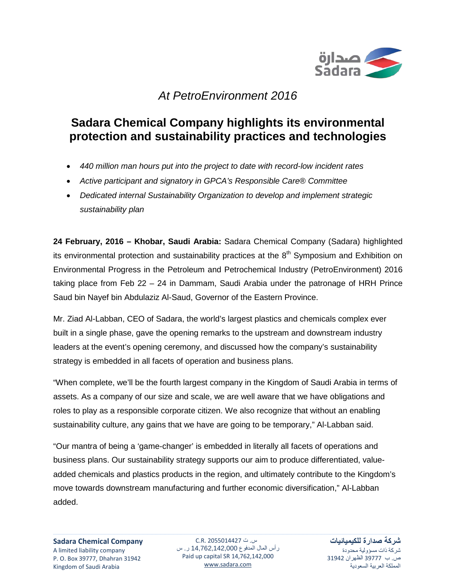

## *At PetroEnvironment 2016*

## **Sadara Chemical Company highlights its environmental protection and sustainability practices and technologies**

- *440 million man hours put into the project to date with record-low incident rates*
- *Active participant and signatory in GPCA's Responsible Care® Committee*
- *Dedicated internal Sustainability Organization to develop and implement strategic sustainability plan*

**24 February, 2016 – Khobar, Saudi Arabia:** Sadara Chemical Company (Sadara) highlighted its environmental protection and sustainability practices at the  $8<sup>th</sup>$  Symposium and Exhibition on Environmental Progress in the Petroleum and Petrochemical Industry (PetroEnvironment) 2016 taking place from Feb 22 – 24 in Dammam, Saudi Arabia under the patronage of HRH Prince Saud bin Nayef bin Abdulaziz Al-Saud, Governor of the Eastern Province.

Mr. Ziad Al-Labban, CEO of Sadara, the world's largest plastics and chemicals complex ever built in a single phase, gave the opening remarks to the upstream and downstream industry leaders at the event's opening ceremony, and discussed how the company's sustainability strategy is embedded in all facets of operation and business plans.

"When complete, we'll be the fourth largest company in the Kingdom of Saudi Arabia in terms of assets. As a company of our size and scale, we are well aware that we have obligations and roles to play as a responsible corporate citizen. We also recognize that without an enabling sustainability culture, any gains that we have are going to be temporary," Al-Labban said.

"Our mantra of being a 'game-changer' is embedded in literally all facets of operations and business plans. Our sustainability strategy supports our aim to produce differentiated, valueadded chemicals and plastics products in the region, and ultimately contribute to the Kingdom's move towards downstream manufacturing and further economic diversification," Al-Labban added.

س. ت 2055014427 .R.C رأس المال المدفوع 14,762,142,000 ر. س Paid up capital SR 14,762,142,000 [www.sadara.com](http://www.sadara.com/)